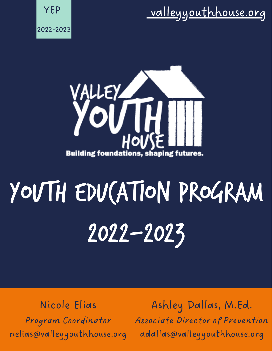### [valleyyouthhouse.org](https://www.valleyyouthhouse.org/programs/in-school-programs/youth-education-program-yep/)





# Youth education program 2022-2023

Nicole Elias Program Coordinator nelias@valleyyouthhouse.org

Ashley Dallas, M.Ed. Associate Director of Prevention adallas@valleyyouthhouse.org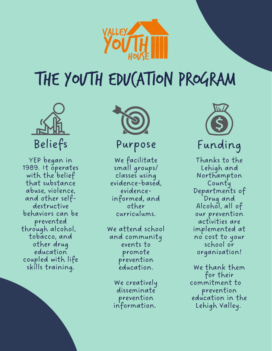

### The youth education program



YEP began in 1989. It operates with the belief that substance abuse, violence, and other selfdestructive behaviors can be prevented through alcohol, tobacco, and other drug education coupled with life skills training.



#### Purpose

We facilitate small groups/ classes using evidence-based, evidenceinformed, and other curriculums.

We attend school and community events to promote prevention education.

> We creatively disseminate prevention information.



Thanks to the Lehigh and Northampton County Departments of Drug and Alcohol, all of our prevention activities are implemented at no cost to your school or organization!

We thank them for their commitment to prevention education in the Lehigh Valley.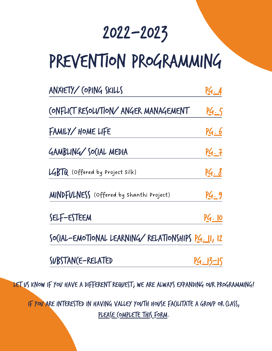### 2022-2023

### prevention programming

| ANXIETY/ (OPING SKILLS                                     | P4.4              |
|------------------------------------------------------------|-------------------|
| (ONFLICT RESOLVTION/ANGER MANAGEMENT                       | <u> P4.5</u>      |
| FAMILY/ HOME LIFE                                          | <u>PG.6</u>       |
| GAMBLING/SO(IAL MEDIA                                      | <u> PG. 7</u>     |
| LGBTQ (Offered by Project Silk)                            | <u> PG. 8</u>     |
| <b>MINDFULNESS</b> (Offered by Shanthi Project)            | <u>PG. 9</u>      |
| SELF-ESTEEM                                                | <u>PG. 10</u>     |
| SO(IAL-EMOTIONAL LEARNING/RELATIONSHIPS <u>PG. 1</u> 1, 12 |                   |
| SUBSTANCE-RELATED                                          | <u> PG. 13-15</u> |

let us know if you have a different request; we are always expanding our programming!

if you are interested in having Valley Youth House facilitate a group or class, PLEASE COMPLETE THIS FORM.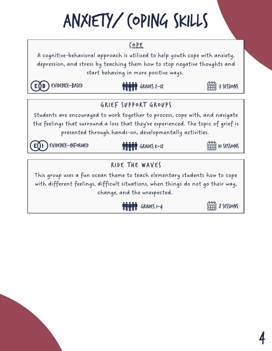## anxiety/ coping skills

#### [COPE](https://www.cope2thrive.com/)

A cognitive-behavioral approach is utilized to help youth cope with anxiety, depression, and stress by teaching them how to stop negative thoughts and start behaving in more positive ways.

 $E($ B

 $EVIDEN(E-BASED$   $\blacksquare$   $\blacksquare$   $\blacksquare$   $\blacksquare$   $\blacksquare$   $I$   $SESIIONS$ 

 $\lim_{k\to\infty}$  *8* sessions

#### G RIEF SUPPORT G ROUPS

Students are encouraged to work together to process, cope with, and navigate the feelings that surround a loss that they've experienced. The topic of grief is presented through hands-on, developmentally activities.

#### $EVIDEN(E-INFORMED$  **THE TEEN SESSIONS**

#### RIDE THE WAVES

This group uses a fun ocean theme to teach elementary students how to cope with different feelings, difficult situations, when things do not go their way, change, and the unexpected.

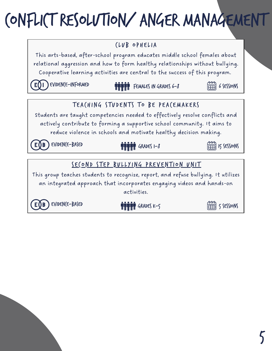### conflict resolution/ anger management

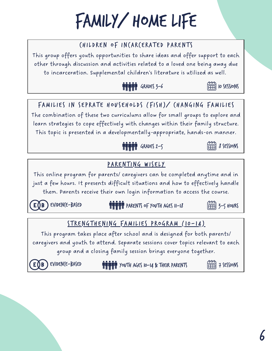### family/ home life

#### CHILDREN OF INCARCERATED PARENTS

This group offers youth opportunities to share ideas and offer support to each other through discussion and activities related to a loved one being away due to incarceration. Supplemental children's literature is utilized as well.





The combination of these two curriculums allow for small groups to explore and learn strategies to cope effectively with changes within their family structure. This topic is presented in a developmentally-appropriate, hands-on manner.

### [PARE](https://www.parentingwisely.com/)NTING WISELY

**THIMM** GRADES 2-5

This online program for parents/ caregivers can be completed anytime and in just a few hours. It presents difficult situations and how to effectively handle them. Parents receive their own login information to access the course.

 $E(\overline{B})$  EVIDENCE-BASED **particle parameters** of youth ages 11-18  $\overline{13}$  3-5 hours

STRENGTHENING FAM[ILIES](https://www.extension.iastate.edu/sfp10-14/) PROGRAM (10-14)

This program takes place after school and is designed for both parents/ caregivers and youth to attend. Separate sessions cover topics relevant to each group and a closing family session brings everyone together.

 $E$ VIDEN(E-BASED **WHEN THE TESSIONS** THEIR PARENTS  $\boxed{\pm 1}$  7 SESSIONS



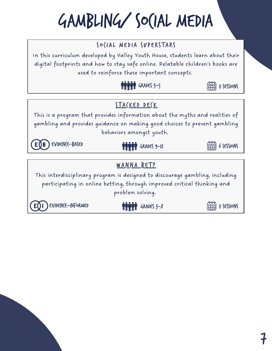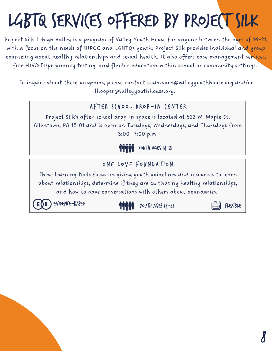# LGBTQ SERVICES OFFERED BY PROJECT SILK

Project Silk Lehigh Valley is a program of Valley Youth House for anyone between the ages of 14-21, with a focus on the needs of BIPOC and LGBTQ+ youth. Project silk provides individual and group counseling about healthy relationships and sexual health. It also offers case management services, free HIV/STI/pregnancy testing, and flexible education within school or community settings.

To inquire about these programs, please contact kcamburn@valleyyouthhouse.org and/or lhooper@valleyyouthhouse.org.

#### AFTER SCHOOL DROP-IN CENTER

Project Silk's after-school drop-in space is located at 522 W. Maple St. Allentown, PA 18101 and is open on Tuesdays, Wednesdays, and Thursdays from 3:00- 7:00 p.m.



#### ONE LOVE FOUNDATION

These learning tools focus on giving youth guidelines and resources to learn about relationships, determine if they are cultivating healthy relationships, and how to have conversations with others about boundaries.

E () B

EVIDENCE-BASED **WARNER WAS ARRESTED WARNER WAS A THE STATE** 

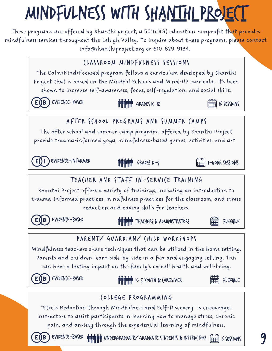# Mindfulness with [shanthi](https://www.shanthiproject.org/) project

These programs are offered by Shanthi project, a 501(c)(3) education nonprofit that provides mindfulness services throughout the Lehigh Valley. To inquire about these programs, please contact info@shanthiproject.org or 610-829-9134.



EVIDEN(E-BASED (WARELGRADUATE/GRADUATE STUDENTS & INSTRUCTORS (EEEE) 6 SESSIONS

E OB

9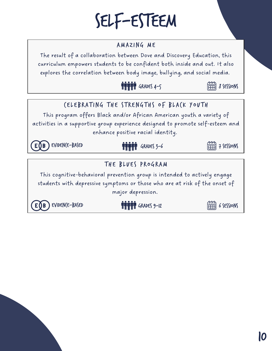### self-esteem

#### AMAZING ME

The result of a collaboration between Dove and Discovery Education, this curriculum empowers students to be confident both inside and out. It also explores the correlation between body image, bullying, and social media.





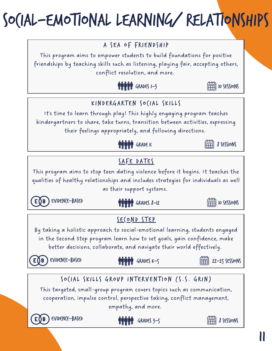# Social-emotional learning/ relationships

#### A SEA OF FRIENDSHIP

This program aims to empower students to build foundations for positive friendships by teaching skills such as listening, playing fair, accepting others, conflict resolution, and more.





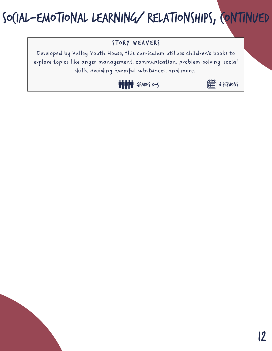### Social-emotional learning/ relationships, continued

#### STORY WEAVERS

Developed by Valley Youth House, this curriculum utilizes children's books to explore topics like anger management, communication, problem-solving, social skills, avoiding harmful substances, and more.



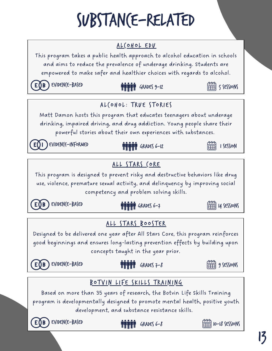### Substance-related



development, and substance resistance skills.

EVIDENCE-BASED

Grades 6-8



13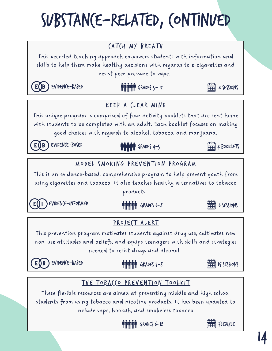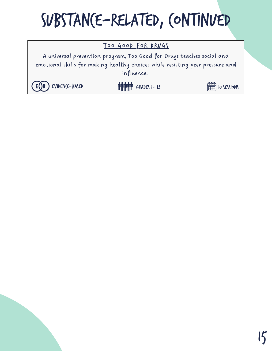### Substance-related, continued

#### Too Good For DRUGS

A universal prevention program, Too Good for Drugs teaches social and emotional skills for making healthy choices while resisting peer pressure and influence.

#### EVIDENCE-BASED **GRADES 1-12**